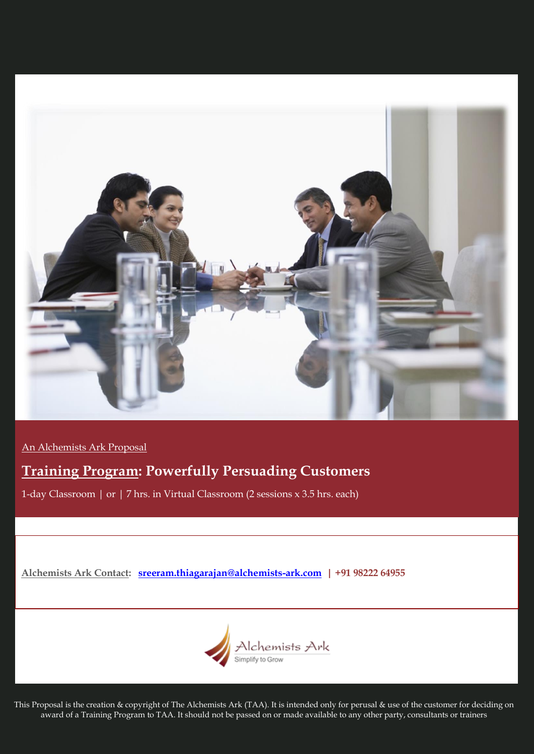

An Alchemists Ark Proposal

# **Training Program: Powerfully Persuading Customers**

1-day Classroom | or | 7 hrs. in Virtual Classroom (2 sessions x 3.5 hrs. each)

**Alchemists Ark Contact: [sreeram.thiagarajan@alchemists-ark.com](mailto:sreeram.thiagarajan@alchemists-ark.com) | +91 98222 64955**



This Proposal is the creation & copyright of The Alchemists Ark (TAA). It is intended only for perusal & use of the customer for deciding on award of a Training Program to TAA. It should not be passed on or made available to any other party, consultants or trainers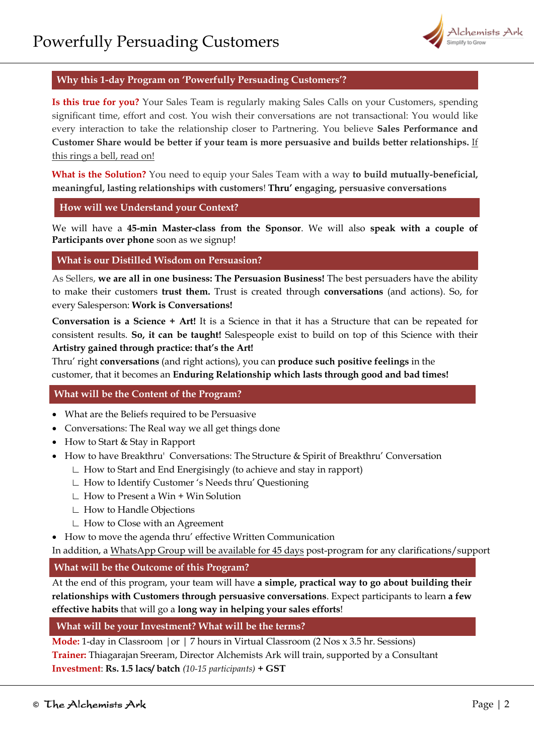

# **Why this 1-day Program on 'Powerfully Persuading Customers'?**

**Is this true for you?** Your Sales Team is regularly making Sales Calls on your Customers, spending significant time, effort and cost. You wish their conversations are not transactional: You would like every interaction to take the relationship closer to Partnering. You believe **Sales Performance and Customer Share would be better if your team is more persuasive and builds better relationships.** If this rings a bell, read on!

**What is the Solution?** You need to equip your Sales Team with a way **to build mutually-beneficial, meaningful, lasting relationships with customers**! **Thru' engaging, persuasive conversations**

## **How will we Understand your Context?**

We will have a **45-min Master-class from the Sponsor**. We will also **speak with a couple of Participants over phone** soon as we signup!

## **What is our Distilled Wisdom on Persuasion?**

As Sellers, **we are all in one business: The Persuasion Business!** The best persuaders have the ability to make their customers **trust them.** Trust is created through **conversations** (and actions). So, for every Salesperson: **Work is Conversations!** 

**Conversation is a Science + Art!** It is a Science in that it has a Structure that can be repeated for consistent results. **So, it can be taught!** Salespeople exist to build on top of this Science with their **Artistry gained through practice: that's the Art!** 

Thru' right **conversations** (and right actions), you can **produce such positive feelings** in the customer, that it becomes an **Enduring Relationship which lasts through good and bad times!**

# **What will be the Content of the Program?**

- What are the Beliefs required to be Persuasive
- Conversations: The Real way we all get things done
- How to Start & Stay in Rapport
- How to have Breakthru' Conversations: The Structure & Spirit of Breakthru' Conversation
	- ∟ How to Start and End Energisingly (to achieve and stay in rapport)
	- ∟ How to Identify Customer 's Needs thru' Questioning
	- ∟ How to Present a Win + Win Solution
	- ∟ How to Handle Objections
	- ∟ How to Close with an Agreement
- How to move the agenda thru' effective Written Communication

In addition, a WhatsApp Group will be available for 45 days post-program for any clarifications/support

# **What will be the Outcome of this Program?**

At the end of this program, your team will have **a simple, practical way to go about building their relationships with Customers through persuasive conversations**. Expect participants to learn **a few effective habits** that will go a **long way in helping your sales efforts**!

# **What will be your Investment? What will be the terms?**

**Mode:** 1-day in Classroom |or | 7 hours in Virtual Classroom (2 Nos x 3.5 hr. Sessions) **Trainer:** Thiagarajan Sreeram, Director Alchemists Ark will train, supported by a Consultant **Investment**: **Rs. 1.5 lacs/ batch** *(10-15 participants)* **+ GST**